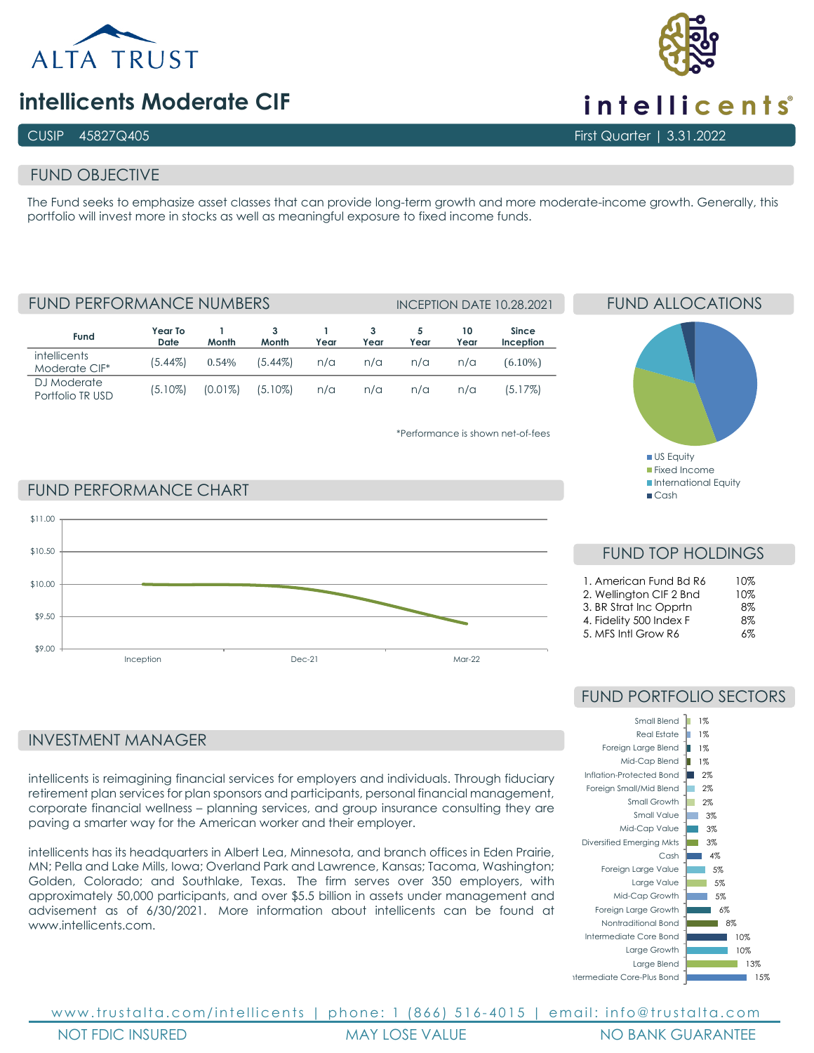

# **intellicents Moderate CIF**

# FUND OBJECTIVE

The Fund seeks to emphasize asset classes that can provide long-term growth and more moderate-income growth. Generally, this portfolio will invest more in stocks as well as meaningful exposure to fixed income funds.

**Fund Year To Date 1 Month 3 Month 1 Year 3 Year 5 Year 10 Year Since Inception intellicents** Moderate CIF\* (5.44%) 0.54% (5.44%) n/a n/a n/a n/a (6.10%) DJ Moderate Portfolio TR USD (5.10%) (0.01%) (5.10%) n/a n/a n/a n/a (5.17%) FUND PERFORMANCE NUMBERS INCEPTION DATE 10.28.2021

\*Performance is shown net-of-fees

# FUND ALLOCATIONS



 $C$ ash

# FUND PERFORMANCE CHART



FUND TOP HOLDINGS

| 1. American Fund Bd R6  | 10% |
|-------------------------|-----|
| 2. Wellington CIF 2 Bnd | 10% |
| 3. BR Strat Inc Opprtn  | 8%  |
| 4. Fidelity 500 Index F | 8%  |
| 5. MFS Intl Grow R6     | 6%  |
|                         |     |

# INVESTMENT MANAGER

intellicents is reimagining financial services for employers and individuals. Through fiduciary retirement plan services for plan sponsors and participants, personal financial management, corporate financial wellness – planning services, and group insurance consulting they are paving a smarter way for the American worker and their employer.

intellicents has its headquarters in Albert Lea, Minnesota, and branch offices in Eden Prairie, MN; Pella and Lake Mills, Iowa; Overland Park and Lawrence, Kansas; Tacoma, Washington; Golden, Colorado; and Southlake, Texas. The firm serves over 350 employers, with approximately 50,000 participants, and over \$5.5 billion in assets under management and advisement as of 6/30/2021. More information about intellicents can be found at www.intellicents.com

# FUND PORTFOLIO SECTORS



www.trustalta.com/ intellicents | phone: 1 (866) 516 - 4015 | email: info@trustalta.com NOT FDIC INSURED MAY LOSE VALUE NO BANK GUARANTEE



CUSIP 45827Q405 First Quarter | 3.31.2022